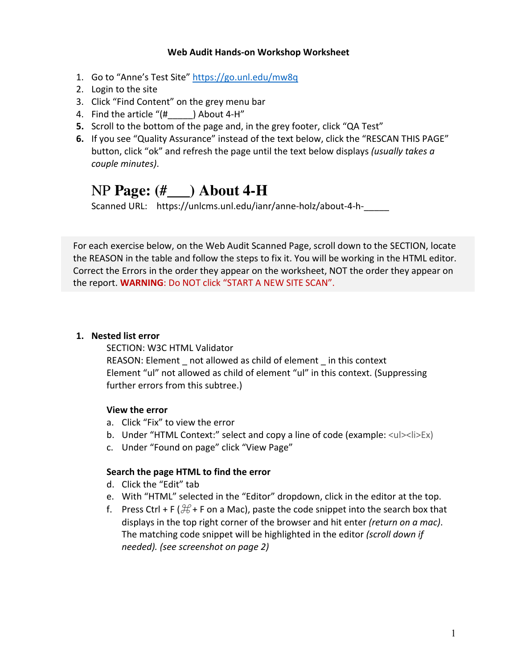#### **Web Audit Hands-on Workshop Worksheet**

- 1. Go to "Anne's Test Site" https://go.unl.edu/mw8q
- 2. Login to the site
- 3. Click "Find Content" on the grey menu bar
- 4. Find the article "(# ) About 4-H"
- **5.** Scroll to the bottom of the page and, in the grey footer, click "QA Test"
- **6.** If you see "Quality Assurance" instead of the text below, click the "RESCAN THIS PAGE" button, click "ok" and refresh the page until the text below displays *(usually takes a couple minutes)*.

# NP **Page: (#\_\_\_) About 4-H**

Scanned URL: https://unlcms.unl.edu/ianr/anne-holz/about-4-h-

For each exercise below, on the Web Audit Scanned Page, scroll down to the SECTION, locate the REASON in the table and follow the steps to fix it. You will be working in the HTML editor. Correct the Errors in the order they appear on the worksheet, NOT the order they appear on the report. **WARNING**: Do NOT click "START A NEW SITE SCAN".

#### **1. Nested list error**

SECTION: W3C HTML Validator REASON: Element not allowed as child of element in this context Element "ul" not allowed as child of element "ul" in this context. (Suppressing further errors from this subtree.)

#### **View the error**

- a. Click "Fix" to view the error
- b. Under "HTML Context:" select and copy a line of code (example:  $\langle u|>\langle v| \rangle \leq$  \timession 6.
- c. Under "Found on page" click "View Page"

#### **Search the page HTML to find the error**

- d. Click the "Edit" tab
- e. With "HTML" selected in the "Editor" dropdown, click in the editor at the top.
- f. Press Ctrl + F ( $\mathcal{H}$  + F on a Mac), paste the code snippet into the search box that displays in the top right corner of the browser and hit enter *(return on a mac)*. The matching code snippet will be highlighted in the editor *(scroll down if needed). (see screenshot on page 2)*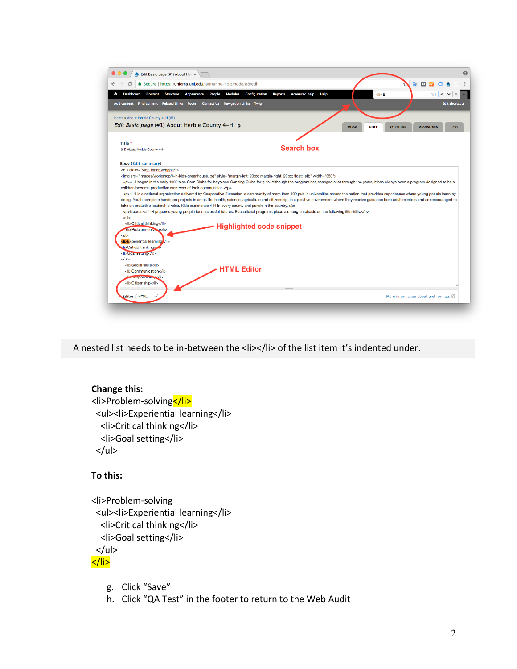| Secure   https://unlcms.unl.edu/ianr/anne-holz/node/88/edit<br>D.<br>м<br><b>Advanced help</b><br>Content Structure<br><b>Modules</b><br><b>Configuration</b><br><b>Reports</b><br>Help<br>$1 > E$<br><b>Dashboard</b><br>Appearance People<br>$1/1$ $\wedge$ $\vee$<br>Add content Find content Related Links Footer Contact Us Navigation Links Twig<br><b>VIEW</b><br><b>EDIT</b><br><b>OUTLINE</b><br><b>REVISIONS</b><br><b>Search box</b><br><img src="images/workshop/4-h-kids-greenhouse.jpg" style="margin-left: 20px; margin-right: 20px; float: left;" width="350"/><br><p>4-H began in the early 1900's as Corn Clubs for boys and Canning Clubs for girls. Although the program has changed a lot through the years, it has always been a program designed to help<br/><p>4-H is a national organization delivered by Cooperative Extension-a community of more than 100 public universities across the nation that provides experiences where young people learn by<br/>doing. Youth complete hands-on projects in areas like health, science, agriculture and citizenship, in a positive environment where they receive guidance from adult mentors and are encouraged to<br/>take on proactive leadership roles. Kids experience 4-H in every county and parish in the country.</p><br/><p>Nebraska 4-H prepares young people for successful futures. Educational programs place a strong emphasis on the following life skills.</p><br/><li>Critical thinking</li><br/><b>Highlighted code snippet</b><br/><li>Problem-solvmg</li><br/>di&gt;Critical thinking<!--/--><br/><li>Goarsemng</li><br/><li>Social skills</li><br/><b>HTML Editor</b><br/><li>Communication</li></p> |                                                          |  |  |                       |
|-------------------------------------------------------------------------------------------------------------------------------------------------------------------------------------------------------------------------------------------------------------------------------------------------------------------------------------------------------------------------------------------------------------------------------------------------------------------------------------------------------------------------------------------------------------------------------------------------------------------------------------------------------------------------------------------------------------------------------------------------------------------------------------------------------------------------------------------------------------------------------------------------------------------------------------------------------------------------------------------------------------------------------------------------------------------------------------------------------------------------------------------------------------------------------------------------------------------------------------------------------------------------------------------------------------------------------------------------------------------------------------------------------------------------------------------------------------------------------------------------------------------------------------------------------------------------------------------------------------------------------------------------------------------------------------------------|----------------------------------------------------------|--|--|-----------------------|
|                                                                                                                                                                                                                                                                                                                                                                                                                                                                                                                                                                                                                                                                                                                                                                                                                                                                                                                                                                                                                                                                                                                                                                                                                                                                                                                                                                                                                                                                                                                                                                                                                                                                                                 |                                                          |  |  |                       |
|                                                                                                                                                                                                                                                                                                                                                                                                                                                                                                                                                                                                                                                                                                                                                                                                                                                                                                                                                                                                                                                                                                                                                                                                                                                                                                                                                                                                                                                                                                                                                                                                                                                                                                 |                                                          |  |  |                       |
|                                                                                                                                                                                                                                                                                                                                                                                                                                                                                                                                                                                                                                                                                                                                                                                                                                                                                                                                                                                                                                                                                                                                                                                                                                                                                                                                                                                                                                                                                                                                                                                                                                                                                                 |                                                          |  |  | <b>Edit shortcuts</b> |
|                                                                                                                                                                                                                                                                                                                                                                                                                                                                                                                                                                                                                                                                                                                                                                                                                                                                                                                                                                                                                                                                                                                                                                                                                                                                                                                                                                                                                                                                                                                                                                                                                                                                                                 |                                                          |  |  |                       |
|                                                                                                                                                                                                                                                                                                                                                                                                                                                                                                                                                                                                                                                                                                                                                                                                                                                                                                                                                                                                                                                                                                                                                                                                                                                                                                                                                                                                                                                                                                                                                                                                                                                                                                 | Home » About Herbie County 4-H (#1)                      |  |  |                       |
|                                                                                                                                                                                                                                                                                                                                                                                                                                                                                                                                                                                                                                                                                                                                                                                                                                                                                                                                                                                                                                                                                                                                                                                                                                                                                                                                                                                                                                                                                                                                                                                                                                                                                                 | <i>Edit Basic page</i> (#1) About Herbie County 4-H o    |  |  | <b>LOG</b>            |
|                                                                                                                                                                                                                                                                                                                                                                                                                                                                                                                                                                                                                                                                                                                                                                                                                                                                                                                                                                                                                                                                                                                                                                                                                                                                                                                                                                                                                                                                                                                                                                                                                                                                                                 |                                                          |  |  |                       |
|                                                                                                                                                                                                                                                                                                                                                                                                                                                                                                                                                                                                                                                                                                                                                                                                                                                                                                                                                                                                                                                                                                                                                                                                                                                                                                                                                                                                                                                                                                                                                                                                                                                                                                 | Title *                                                  |  |  |                       |
|                                                                                                                                                                                                                                                                                                                                                                                                                                                                                                                                                                                                                                                                                                                                                                                                                                                                                                                                                                                                                                                                                                                                                                                                                                                                                                                                                                                                                                                                                                                                                                                                                                                                                                 | (#1) About Herbie County 4-H                             |  |  |                       |
|                                                                                                                                                                                                                                                                                                                                                                                                                                                                                                                                                                                                                                                                                                                                                                                                                                                                                                                                                                                                                                                                                                                                                                                                                                                                                                                                                                                                                                                                                                                                                                                                                                                                                                 |                                                          |  |  |                       |
|                                                                                                                                                                                                                                                                                                                                                                                                                                                                                                                                                                                                                                                                                                                                                                                                                                                                                                                                                                                                                                                                                                                                                                                                                                                                                                                                                                                                                                                                                                                                                                                                                                                                                                 | <b>Body (Edit summary)</b>                               |  |  |                       |
|                                                                                                                                                                                                                                                                                                                                                                                                                                                                                                                                                                                                                                                                                                                                                                                                                                                                                                                                                                                                                                                                                                                                                                                                                                                                                                                                                                                                                                                                                                                                                                                                                                                                                                 | <div class="wdn-inner-wrapper"></div>                    |  |  |                       |
|                                                                                                                                                                                                                                                                                                                                                                                                                                                                                                                                                                                                                                                                                                                                                                                                                                                                                                                                                                                                                                                                                                                                                                                                                                                                                                                                                                                                                                                                                                                                                                                                                                                                                                 |                                                          |  |  |                       |
|                                                                                                                                                                                                                                                                                                                                                                                                                                                                                                                                                                                                                                                                                                                                                                                                                                                                                                                                                                                                                                                                                                                                                                                                                                                                                                                                                                                                                                                                                                                                                                                                                                                                                                 |                                                          |  |  |                       |
|                                                                                                                                                                                                                                                                                                                                                                                                                                                                                                                                                                                                                                                                                                                                                                                                                                                                                                                                                                                                                                                                                                                                                                                                                                                                                                                                                                                                                                                                                                                                                                                                                                                                                                 | children become productive members of their communities. |  |  |                       |
|                                                                                                                                                                                                                                                                                                                                                                                                                                                                                                                                                                                                                                                                                                                                                                                                                                                                                                                                                                                                                                                                                                                                                                                                                                                                                                                                                                                                                                                                                                                                                                                                                                                                                                 |                                                          |  |  |                       |
|                                                                                                                                                                                                                                                                                                                                                                                                                                                                                                                                                                                                                                                                                                                                                                                                                                                                                                                                                                                                                                                                                                                                                                                                                                                                                                                                                                                                                                                                                                                                                                                                                                                                                                 |                                                          |  |  |                       |
|                                                                                                                                                                                                                                                                                                                                                                                                                                                                                                                                                                                                                                                                                                                                                                                                                                                                                                                                                                                                                                                                                                                                                                                                                                                                                                                                                                                                                                                                                                                                                                                                                                                                                                 |                                                          |  |  |                       |
|                                                                                                                                                                                                                                                                                                                                                                                                                                                                                                                                                                                                                                                                                                                                                                                                                                                                                                                                                                                                                                                                                                                                                                                                                                                                                                                                                                                                                                                                                                                                                                                                                                                                                                 |                                                          |  |  |                       |
|                                                                                                                                                                                                                                                                                                                                                                                                                                                                                                                                                                                                                                                                                                                                                                                                                                                                                                                                                                                                                                                                                                                                                                                                                                                                                                                                                                                                                                                                                                                                                                                                                                                                                                 |                                                          |  |  |                       |
|                                                                                                                                                                                                                                                                                                                                                                                                                                                                                                                                                                                                                                                                                                                                                                                                                                                                                                                                                                                                                                                                                                                                                                                                                                                                                                                                                                                                                                                                                                                                                                                                                                                                                                 | $ul$                                                     |  |  |                       |
|                                                                                                                                                                                                                                                                                                                                                                                                                                                                                                                                                                                                                                                                                                                                                                                                                                                                                                                                                                                                                                                                                                                                                                                                                                                                                                                                                                                                                                                                                                                                                                                                                                                                                                 |                                                          |  |  |                       |
|                                                                                                                                                                                                                                                                                                                                                                                                                                                                                                                                                                                                                                                                                                                                                                                                                                                                                                                                                                                                                                                                                                                                                                                                                                                                                                                                                                                                                                                                                                                                                                                                                                                                                                 |                                                          |  |  |                       |
|                                                                                                                                                                                                                                                                                                                                                                                                                                                                                                                                                                                                                                                                                                                                                                                                                                                                                                                                                                                                                                                                                                                                                                                                                                                                                                                                                                                                                                                                                                                                                                                                                                                                                                 | $ul$                                                     |  |  |                       |
|                                                                                                                                                                                                                                                                                                                                                                                                                                                                                                                                                                                                                                                                                                                                                                                                                                                                                                                                                                                                                                                                                                                                                                                                                                                                                                                                                                                                                                                                                                                                                                                                                                                                                                 | <li>Experiential learning</li>                           |  |  |                       |
|                                                                                                                                                                                                                                                                                                                                                                                                                                                                                                                                                                                                                                                                                                                                                                                                                                                                                                                                                                                                                                                                                                                                                                                                                                                                                                                                                                                                                                                                                                                                                                                                                                                                                                 |                                                          |  |  |                       |
|                                                                                                                                                                                                                                                                                                                                                                                                                                                                                                                                                                                                                                                                                                                                                                                                                                                                                                                                                                                                                                                                                                                                                                                                                                                                                                                                                                                                                                                                                                                                                                                                                                                                                                 |                                                          |  |  |                       |
|                                                                                                                                                                                                                                                                                                                                                                                                                                                                                                                                                                                                                                                                                                                                                                                                                                                                                                                                                                                                                                                                                                                                                                                                                                                                                                                                                                                                                                                                                                                                                                                                                                                                                                 | $<$ /ul>                                                 |  |  |                       |
|                                                                                                                                                                                                                                                                                                                                                                                                                                                                                                                                                                                                                                                                                                                                                                                                                                                                                                                                                                                                                                                                                                                                                                                                                                                                                                                                                                                                                                                                                                                                                                                                                                                                                                 |                                                          |  |  |                       |
|                                                                                                                                                                                                                                                                                                                                                                                                                                                                                                                                                                                                                                                                                                                                                                                                                                                                                                                                                                                                                                                                                                                                                                                                                                                                                                                                                                                                                                                                                                                                                                                                                                                                                                 |                                                          |  |  |                       |
|                                                                                                                                                                                                                                                                                                                                                                                                                                                                                                                                                                                                                                                                                                                                                                                                                                                                                                                                                                                                                                                                                                                                                                                                                                                                                                                                                                                                                                                                                                                                                                                                                                                                                                 |                                                          |  |  |                       |
|                                                                                                                                                                                                                                                                                                                                                                                                                                                                                                                                                                                                                                                                                                                                                                                                                                                                                                                                                                                                                                                                                                                                                                                                                                                                                                                                                                                                                                                                                                                                                                                                                                                                                                 | Tesponsium, Vi>                                          |  |  |                       |
|                                                                                                                                                                                                                                                                                                                                                                                                                                                                                                                                                                                                                                                                                                                                                                                                                                                                                                                                                                                                                                                                                                                                                                                                                                                                                                                                                                                                                                                                                                                                                                                                                                                                                                 | <li>Citizenship</li>                                     |  |  |                       |
|                                                                                                                                                                                                                                                                                                                                                                                                                                                                                                                                                                                                                                                                                                                                                                                                                                                                                                                                                                                                                                                                                                                                                                                                                                                                                                                                                                                                                                                                                                                                                                                                                                                                                                 |                                                          |  |  |                       |
| More information about text formats @                                                                                                                                                                                                                                                                                                                                                                                                                                                                                                                                                                                                                                                                                                                                                                                                                                                                                                                                                                                                                                                                                                                                                                                                                                                                                                                                                                                                                                                                                                                                                                                                                                                           |                                                          |  |  |                       |
|                                                                                                                                                                                                                                                                                                                                                                                                                                                                                                                                                                                                                                                                                                                                                                                                                                                                                                                                                                                                                                                                                                                                                                                                                                                                                                                                                                                                                                                                                                                                                                                                                                                                                                 | Editor: HTML                                             |  |  |                       |

A nested list needs to be in-between the <li></li> of the list item it's indented under.

# **Change this:** <li>Problem-solving</li> <ul><li>Experiential learning</li> <li>Critical thinking</li> <li>Goal setting</li>  $<$ /ul $>$

# **To this:**

<li>Problem-solving <ul><li>Experiential learning</li> <li>Critical thinking</li> <li>Goal setting</li>  $<$ /ul $>$ </li>

- g. Click "Save"
- h. Click "QA Test" in the footer to return to the Web Audit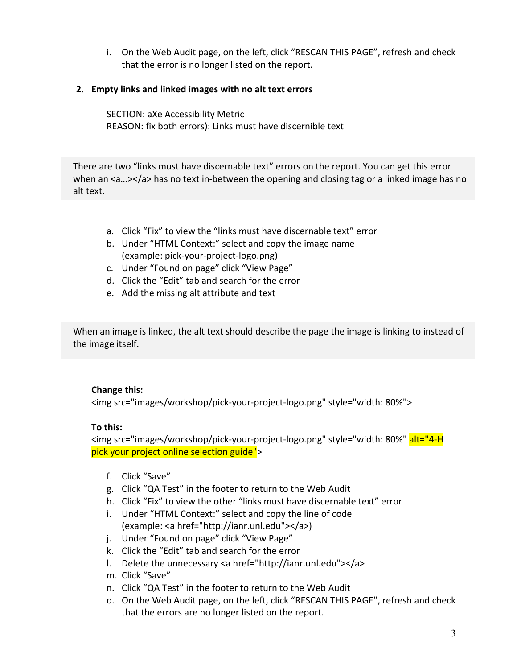i. On the Web Audit page, on the left, click "RESCAN THIS PAGE", refresh and check that the error is no longer listed on the report.

# **2. Empty links and linked images with no alt text errors**

SECTION: aXe Accessibility Metric REASON: fix both errors): Links must have discernible text

There are two "links must have discernable text" errors on the report. You can get this error when an  $\langle a... \rangle \langle a \rangle$  has no text in-between the opening and closing tag or a linked image has no alt text.

- a. Click "Fix" to view the "links must have discernable text" error
- b. Under "HTML Context:" select and copy the image name (example: pick-your-project-logo.png)
- c. Under "Found on page" click "View Page"
- d. Click the "Edit" tab and search for the error
- e. Add the missing alt attribute and text

When an image is linked, the alt text should describe the page the image is linking to instead of the image itself.

#### **Change this:**

<img src="images/workshop/pick-your-project-logo.png" style="width: 80%">

#### **To this:**

<img src="images/workshop/pick-your-project-logo.png" style="width: 80%" alt="4-H pick your project online selection guide">

- f. Click "Save"
- g. Click "QA Test" in the footer to return to the Web Audit
- h. Click "Fix" to view the other "links must have discernable text" error
- i. Under "HTML Context:" select and copy the line of code (example: <a href="http://ianr.unl.edu"></a>)
- j. Under "Found on page" click "View Page"
- k. Click the "Edit" tab and search for the error
- l. Delete the unnecessary <a href="http://ianr.unl.edu"></a>
- m. Click "Save"
- n. Click "QA Test" in the footer to return to the Web Audit
- o. On the Web Audit page, on the left, click "RESCAN THIS PAGE", refresh and check that the errors are no longer listed on the report.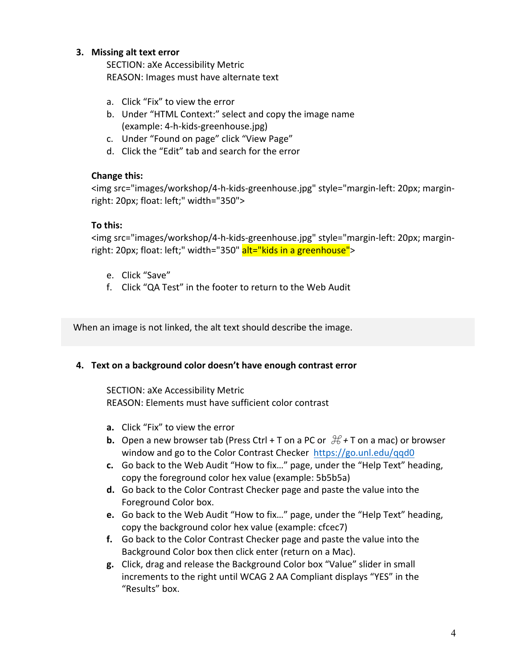# **3. Missing alt text error**

SECTION: aXe Accessibility Metric REASON: Images must have alternate text

- a. Click "Fix" to view the error
- b. Under "HTML Context:" select and copy the image name (example: 4-h-kids-greenhouse.jpg)
- c. Under "Found on page" click "View Page"
- d. Click the "Edit" tab and search for the error

#### **Change this:**

<img src="images/workshop/4-h-kids-greenhouse.jpg" style="margin-left: 20px; marginright: 20px; float: left;" width="350">

#### **To this:**

<img src="images/workshop/4-h-kids-greenhouse.jpg" style="margin-left: 20px; marginright: 20px; float: left;" width="350" alt="kids in a greenhouse">

- e. Click "Save"
- f. Click "QA Test" in the footer to return to the Web Audit

When an image is not linked, the alt text should describe the image.

#### **4. Text on a background color doesn't have enough contrast error**

SECTION: aXe Accessibility Metric REASON: Elements must have sufficient color contrast

- **a.** Click "Fix" to view the error
- **b.** Open a new browser tab (Press Ctrl + T on a PC or  $\mathcal{H}$  + T on a mac) or browser window and go to the Color Contrast Checker  $https://go.unl.edu/qqd0$
- **c.** Go back to the Web Audit "How to fix..." page, under the "Help Text" heading, copy the foreground color hex value (example: 5b5b5a)
- **d.** Go back to the Color Contrast Checker page and paste the value into the Foreground Color box.
- **e.** Go back to the Web Audit "How to fix..." page, under the "Help Text" heading, copy the background color hex value (example: cfcec7)
- **f.** Go back to the Color Contrast Checker page and paste the value into the Background Color box then click enter (return on a Mac).
- **g.** Click, drag and release the Background Color box "Value" slider in small increments to the right until WCAG 2 AA Compliant displays "YES" in the "Results" box.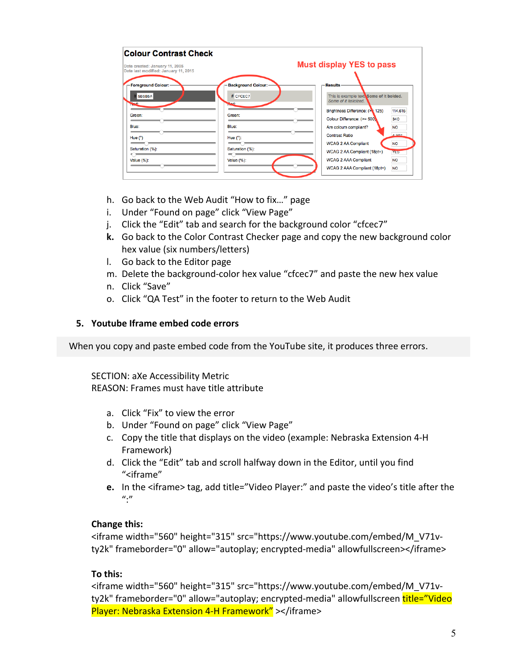| <b>Colour Contrast Check</b>                                                                                             |                                                                                                                                                                                                                                                                                                                                                                                                                                                                   |                                                                                    |  |
|--------------------------------------------------------------------------------------------------------------------------|-------------------------------------------------------------------------------------------------------------------------------------------------------------------------------------------------------------------------------------------------------------------------------------------------------------------------------------------------------------------------------------------------------------------------------------------------------------------|------------------------------------------------------------------------------------|--|
| Date created: January 11, 2005<br>Date last modified: January 11, 2015                                                   | <b>Must display YES to pass</b>                                                                                                                                                                                                                                                                                                                                                                                                                                   |                                                                                    |  |
| - Foreground Colour: -<br># 5B5B5A<br><b>Read</b> :<br>Green:<br>Blue:<br>Hue $(°)$<br>Saturation (%):<br>Value $(\%)$ : | <b>Background Colour: -</b><br><b>Results</b><br># CFCEC7<br>This is example text. Some of it bolded.<br>Some of it italicized.<br>hod:<br>Brightness Difference: (> 125)<br>Green:<br>Colour Difference: (>= 500)<br>Blue:<br>Are colours compliant?<br><b>Contrast Ratio</b><br>Hue $(°)$ :<br><b>WCAG 2 AA Compliant</b><br>Saturation (%):<br>WCAG 2 AA Compliant (18pt+)<br><b>WCAG 2 AAA Compliant</b><br><b>Value (%):</b><br>WCAG 2 AAA Compliant (18pt+) | 114,615<br>340<br><b>NO</b><br>1.307<br><b>NO</b><br>YES<br><b>NO</b><br><b>NO</b> |  |

- h. Go back to the Web Audit "How to fix..." page
- i. Under "Found on page" click "View Page"
- j. Click the "Edit" tab and search for the background color "cfcec7"
- **k.** Go back to the Color Contrast Checker page and copy the new background color hex value (six numbers/letters)
- I. Go back to the Editor page
- m. Delete the background-color hex value "cfcec7" and paste the new hex value
- n. Click "Save"
- o. Click "OA Test" in the footer to return to the Web Audit

#### **5. Youtube Iframe embed code errors**

When you copy and paste embed code from the YouTube site, it produces three errors.

SECTION: aXe Accessibility Metric REASON: Frames must have title attribute

- a. Click "Fix" to view the error
- b. Under "Found on page" click "View Page"
- c. Copy the title that displays on the video (example: Nebraska Extension 4-H Framework)
- d. Click the "Edit" tab and scroll halfway down in the Editor, until you find "<iframe"
- **e.** In the <iframe> tag, add title="Video Player:" and paste the video's title after the  $^{\prime\prime}$ :"

#### **Change this:**

<iframe width="560" height="315" src="https://www.youtube.com/embed/M\_V71vty2k" frameborder="0" allow="autoplay; encrypted-media" allowfullscreen></iframe>

#### **To this:**

<iframe width="560" height="315" src="https://www.youtube.com/embed/M\_V71vty2k" frameborder="0" allow="autoplay; encrypted-media" allowfullscreen title="Video Player: Nebraska Extension 4-H Framework" ></iframe>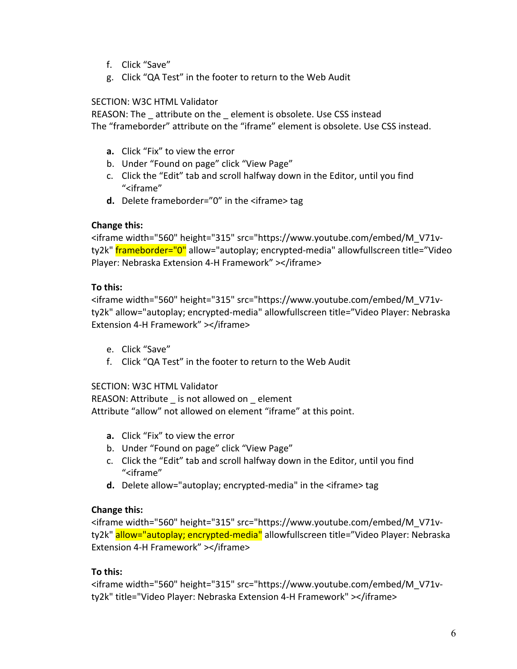- f. Click "Save"
- g. Click "QA Test" in the footer to return to the Web Audit

# SECTION: W3C HTML Validator

REASON: The attribute on the element is obsolete. Use CSS instead The "frameborder" attribute on the "iframe" element is obsolete. Use CSS instead.

- **a.** Click "Fix" to view the error
- b. Under "Found on page" click "View Page"
- c. Click the "Edit" tab and scroll halfway down in the Editor, until you find "<iframe"
- **d.** Delete frameborder=" $0$ " in the  $\leq$ iframe  $\geq$  tag

# **Change this:**

<iframe width="560" height="315" src="https://www.youtube.com/embed/M\_V71vty2k" frameborder="0" allow="autoplay; encrypted-media" allowfullscreen title="Video Player: Nebraska Extension 4-H Framework" ></iframe>

# **To this:**

<iframe width="560" height="315" src="https://www.youtube.com/embed/M\_V71vty2k" allow="autoplay; encrypted-media" allowfullscreen title="Video Player: Nebraska Extension 4-H Framework" ></iframe>

- e. Click "Save"
- f. Click "QA Test" in the footer to return to the Web Audit

# SECTION: W3C HTML Validator

REASON: Attribute \_ is not allowed on \_ element Attribute "allow" not allowed on element "iframe" at this point.

- **a.** Click "Fix" to view the error
- b. Under "Found on page" click "View Page"
- c. Click the "Edit" tab and scroll halfway down in the Editor, until you find "<iframe"
- **d.** Delete allow="autoplay; encrypted-media" in the <iframe> tag

# **Change this:**

<iframe width="560" height="315" src="https://www.youtube.com/embed/M\_V71vty2k" allow="autoplay; encrypted-media" allowfullscreen title="Video Player: Nebraska Extension 4-H Framework" ></iframe>

# **To this:**

<iframe width="560" height="315" src="https://www.youtube.com/embed/M\_V71vty2k" title="Video Player: Nebraska Extension 4-H Framework" ></iframe>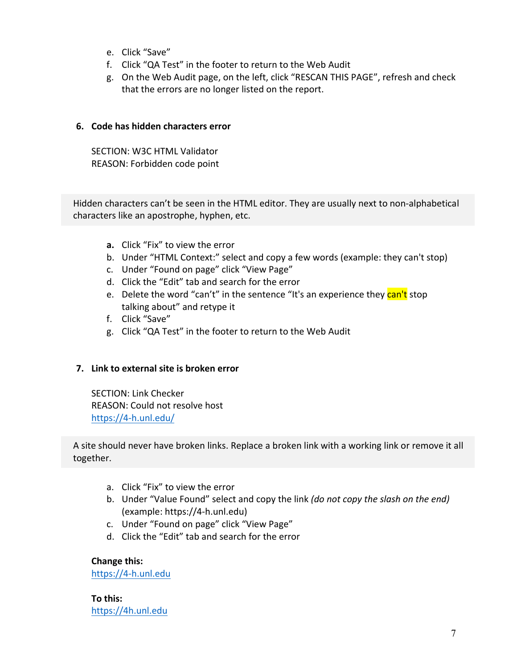- e. Click "Save"
- f. Click "QA Test" in the footer to return to the Web Audit
- g. On the Web Audit page, on the left, click "RESCAN THIS PAGE", refresh and check that the errors are no longer listed on the report.

# **6. Code has hidden characters error**

SECTION: W3C HTML Validator REASON: Forbidden code point

Hidden characters can't be seen in the HTML editor. They are usually next to non-alphabetical characters like an apostrophe, hyphen, etc.

- **a.** Click "Fix" to view the error
- b. Under "HTML Context:" select and copy a few words (example: they can't stop)
- c. Under "Found on page" click "View Page"
- d. Click the "Edit" tab and search for the error
- e. Delete the word "can't" in the sentence "It's an experience they can't stop talking about" and retype it
- f. Click "Save"
- g. Click "QA Test" in the footer to return to the Web Audit

# **7. Link to external site is broken error**

SECTION: Link Checker REASON: Could not resolve host https://4-h.unl.edu/

A site should never have broken links. Replace a broken link with a working link or remove it all together.

- a. Click "Fix" to view the error
- b. Under "Value Found" select and copy the link *(do not copy the slash on the end)* (example: https://4-h.unl.edu)
- c. Under "Found on page" click "View Page"
- d. Click the "Edit" tab and search for the error

**Change this:**

https://4-h.unl.edu

**To this:** https://4h.unl.edu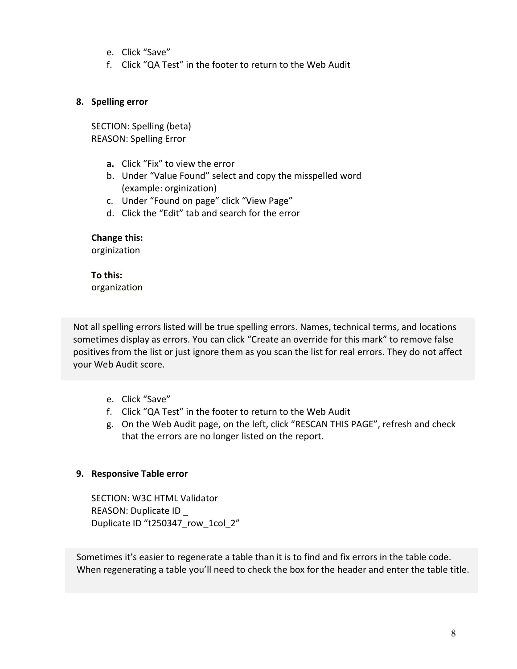- e. Click "Save"
- f. Click "QA Test" in the footer to return to the Web Audit

#### **8. Spelling error**

SECTION: Spelling (beta) REASON: Spelling Error

- **a.** Click "Fix" to view the error
- b. Under "Value Found" select and copy the misspelled word (example: orginization)
- c. Under "Found on page" click "View Page"
- d. Click the "Edit" tab and search for the error

#### **Change this:**

orginization

#### **To this:** organization

Not all spelling errors listed will be true spelling errors. Names, technical terms, and locations sometimes display as errors. You can click "Create an override for this mark" to remove false positives from the list or just ignore them as you scan the list for real errors. They do not affect vour Web Audit score.

- e. Click "Save"
- f. Click "QA Test" in the footer to return to the Web Audit
- g. On the Web Audit page, on the left, click "RESCAN THIS PAGE", refresh and check that the errors are no longer listed on the report.

# **9. Responsive Table error**

SECTION: W3C HTML Validator REASON: Duplicate ID Duplicate ID "t250347\_row\_1col\_2"

Sometimes it's easier to regenerate a table than it is to find and fix errors in the table code. When regenerating a table you'll need to check the box for the header and enter the table title.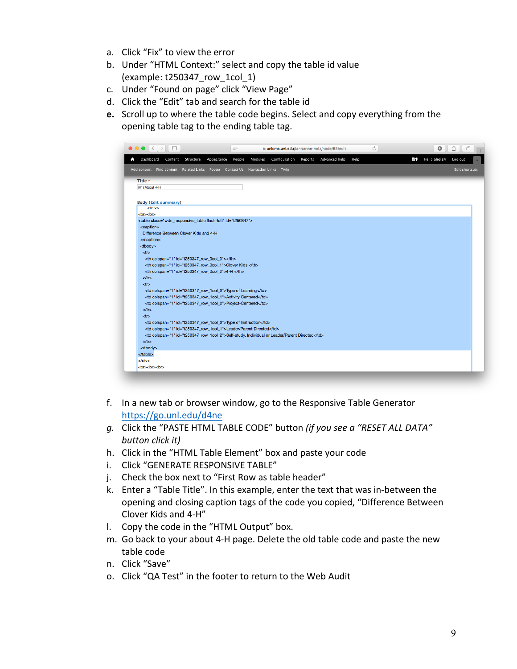- a. Click "Fix" to view the error
- b. Under "HTML Context:" select and copy the table id value (example: t250347\_row\_1col\_1)
- c. Under "Found on page" click "View Page"
- d. Click the "Edit" tab and search for the table id
- **e.** Scroll up to where the table code begins. Select and copy everything from the opening table tag to the ending table tag.



- f. In a new tab or browser window, go to the Responsive Table Generator https://go.unl.edu/d4ne
- *g.* Click the "PASTE HTML TABLE CODE" button (if you see a "RESET ALL DATA" *button click it)*
- h. Click in the "HTML Table Element" box and paste your code
- i. Click "GENERATE RESPONSIVE TABLE"
- j. Check the box next to "First Row as table header"
- k. Enter a "Table Title". In this example, enter the text that was in-between the opening and closing caption tags of the code you copied, "Difference Between Clover Kids and 4-H"
- I. Copy the code in the "HTML Output" box.
- m. Go back to your about 4-H page. Delete the old table code and paste the new table code
- n. Click "Save"
- o. Click "QA Test" in the footer to return to the Web Audit